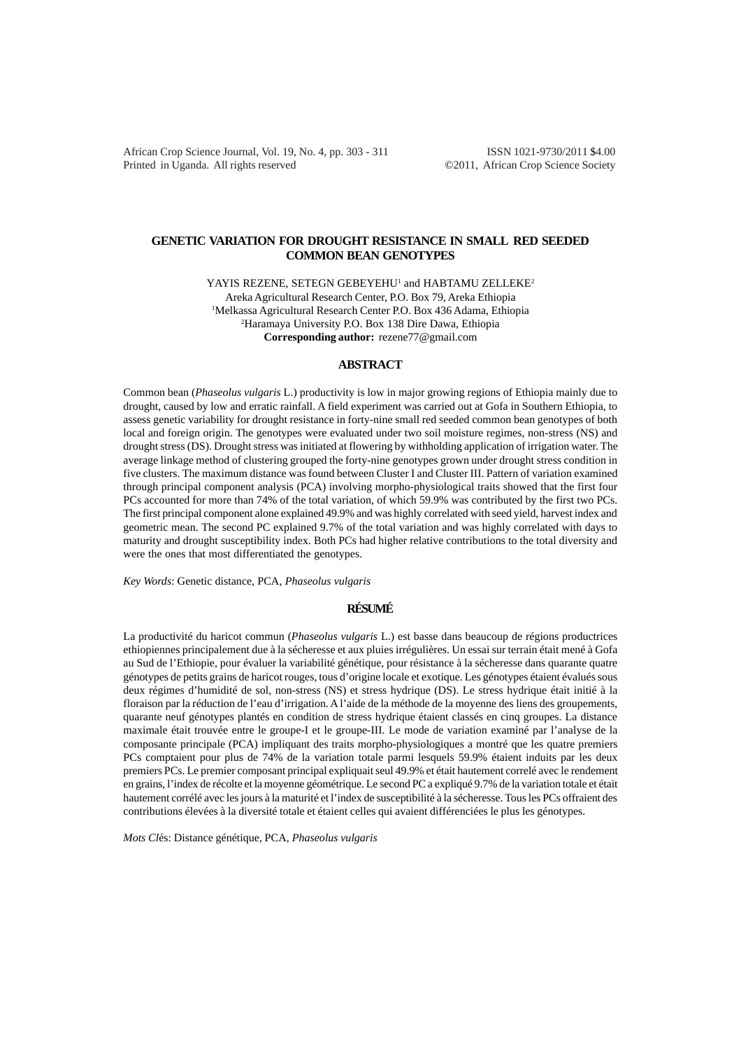African Crop Science Journal, Vol. 19, No. 4, pp. 303 - 311 ISSN 1021-9730/2011 \$4.00 Printed in Uganda. All rights reserved ©2011, African Crop Science Society

# **GENETIC VARIATION FOR DROUGHT RESISTANCE IN SMALL RED SEEDED COMMON BEAN GENOTYPES**

YAYIS REZENE, SETEGN GEBEYEHU<sup>1</sup> and HABTAMU ZELLEKE<sup>2</sup> Areka Agricultural Research Center, P.O. Box 79, Areka Ethiopia 1 Melkassa Agricultural Research Center P.O. Box 436 Adama, Ethiopia 2 Haramaya University P.O. Box 138 Dire Dawa, Ethiopia **Corresponding author:** rezene77@gmail.com

## **ABSTRACT**

Common bean (*Phaseolus vulgaris* L.) productivity is low in major growing regions of Ethiopia mainly due to drought, caused by low and erratic rainfall. A field experiment was carried out at Gofa in Southern Ethiopia, to assess genetic variability for drought resistance in forty-nine small red seeded common bean genotypes of both local and foreign origin. The genotypes were evaluated under two soil moisture regimes, non-stress (NS) and drought stress (DS). Drought stress was initiated at flowering by withholding application of irrigation water. The average linkage method of clustering grouped the forty-nine genotypes grown under drought stress condition in five clusters. The maximum distance was found between Cluster I and Cluster III. Pattern of variation examined through principal component analysis (PCA) involving morpho-physiological traits showed that the first four PCs accounted for more than 74% of the total variation, of which 59.9% was contributed by the first two PCs. The first principal component alone explained 49.9% and was highly correlated with seed yield, harvest index and geometric mean. The second PC explained 9.7% of the total variation and was highly correlated with days to maturity and drought susceptibility index. Both PCs had higher relative contributions to the total diversity and were the ones that most differentiated the genotypes.

*Key Words*: Genetic distance, PCA, *Phaseolus vulgaris*

# **RÉSUMÉ**

La productivité du haricot commun (*Phaseolus vulgaris* L.) est basse dans beaucoup de régions productrices ethiopiennes principalement due à la sécheresse et aux pluies irrégulières. Un essai sur terrain était mené à Gofa au Sud de l'Ethiopie, pour évaluer la variabilité génétique, pour résistance à la sécheresse dans quarante quatre génotypes de petits grains de haricot rouges, tous d'origine locale et exotique. Les génotypes étaient évalués sous deux régimes d'humidité de sol, non-stress (NS) et stress hydrique (DS). Le stress hydrique était initié à la floraison par la réduction de l'eau d'irrigation. A l'aide de la méthode de la moyenne des liens des groupements, quarante neuf génotypes plantés en condition de stress hydrique étaient classés en cinq groupes. La distance maximale était trouvée entre le groupe-I et le groupe-III. Le mode de variation examiné par l'analyse de la composante principale (PCA) impliquant des traits morpho-physiologiques a montré que les quatre premiers PCs comptaient pour plus de 74% de la variation totale parmi lesquels 59.9% étaient induits par les deux premiers PCs. Le premier composant principal expliquait seul 49.9% et était hautement correlé avec le rendement en grains, l'index de récolte et la moyenne géométrique. Le second PC a expliqué 9.7% de la variation totale et était hautement corrélé avec les jours à la maturité et l'index de susceptibilité à la sécheresse. Tous les PCs offraient des contributions élevées à la diversité totale et étaient celles qui avaient différenciées le plus les génotypes.

*Mots Cl*és: Distance génétique, PCA, *Phaseolus vulgaris*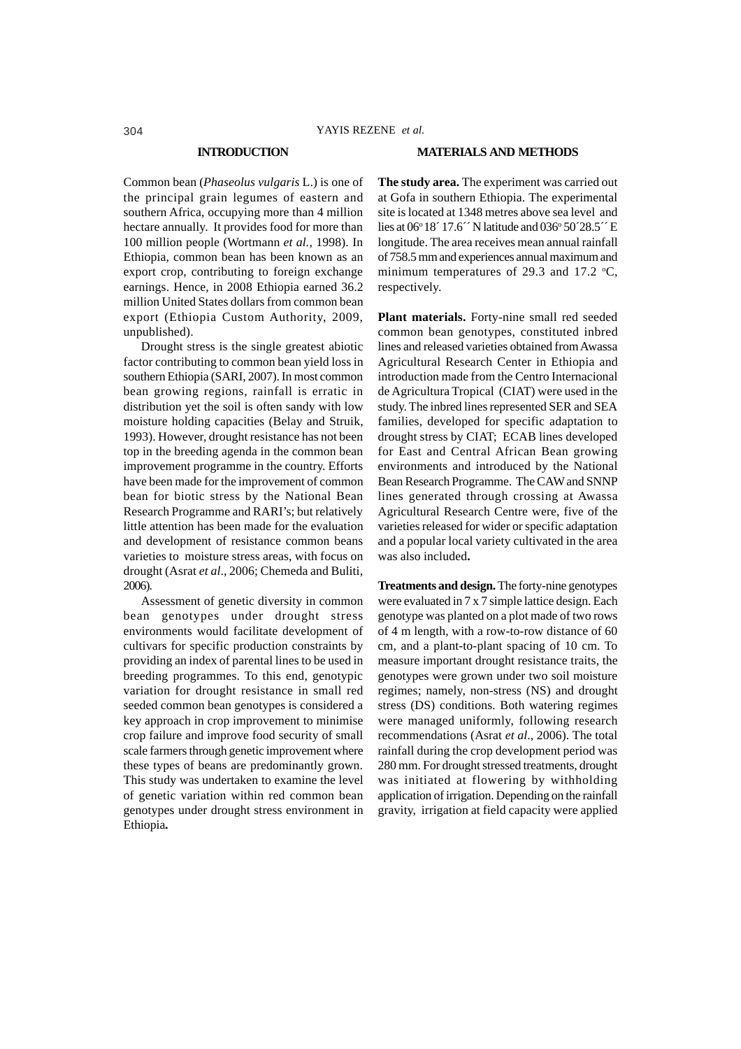## **INTRODUCTION**

Common bean (*Phaseolus vulgaris* L.) is one of the principal grain legumes of eastern and southern Africa, occupying more than 4 million hectare annually. It provides food for more than 100 million people (Wortmann *et al.,* 1998). In Ethiopia, common bean has been known as an export crop, contributing to foreign exchange earnings. Hence, in 2008 Ethiopia earned 36.2 million United States dollars from common bean export (Ethiopia Custom Authority, 2009, unpublished).

Drought stress is the single greatest abiotic factor contributing to common bean yield loss in southern Ethiopia (SARI, 2007). In most common bean growing regions, rainfall is erratic in distribution yet the soil is often sandy with low moisture holding capacities (Belay and Struik, 1993). However, drought resistance has not been top in the breeding agenda in the common bean improvement programme in the country. Efforts have been made for the improvement of common bean for biotic stress by the National Bean Research Programme and RARI's; but relatively little attention has been made for the evaluation and development of resistance common beans varieties to moisture stress areas, with focus on drought (Asrat *et al*., 2006; Chemeda and Buliti, 2006).

Assessment of genetic diversity in common bean genotypes under drought stress environments would facilitate development of cultivars for specific production constraints by providing an index of parental lines to be used in breeding programmes. To this end, genotypic variation for drought resistance in small red seeded common bean genotypes is considered a key approach in crop improvement to minimise crop failure and improve food security of small scale farmers through genetic improvement where these types of beans are predominantly grown. This study was undertaken to examine the level of genetic variation within red common bean genotypes under drought stress environment in Ethiopia**.**

## **MATERIALS AND METHODS**

**The study area.** The experiment was carried out at Gofa in southern Ethiopia. The experimental site is located at 1348 metres above sea level and lies at  $06^{\circ}18'$  17.6<sup> $\prime\prime$ </sup> N latitude and  $036^{\circ}$  50 $\prime$ 28.5 $\prime\prime$  E longitude. The area receives mean annual rainfall of 758.5 mm and experiences annual maximum and minimum temperatures of 29.3 and 17.2  $\textdegree$ C, respectively.

**Plant materials.** Forty-nine small red seeded common bean genotypes, constituted inbred lines and released varieties obtained from Awassa Agricultural Research Center in Ethiopia and introduction made from the Centro Internacional de Agricultura Tropical (CIAT) were used in the study. The inbred lines represented SER and SEA families, developed for specific adaptation to drought stress by CIAT; ECAB lines developed for East and Central African Bean growing environments and introduced by the National Bean Research Programme. The CAW and SNNP lines generated through crossing at Awassa Agricultural Research Centre were, five of the varieties released for wider or specific adaptation and a popular local variety cultivated in the area was also included**.**

**Treatments and design.** The forty-nine genotypes were evaluated in 7 x 7 simple lattice design. Each genotype was planted on a plot made of two rows of 4 m length, with a row-to-row distance of 60 cm, and a plant-to-plant spacing of 10 cm. To measure important drought resistance traits, the genotypes were grown under two soil moisture regimes; namely, non-stress (NS) and drought stress (DS) conditions. Both watering regimes were managed uniformly, following research recommendations (Asrat *et al*., 2006). The total rainfall during the crop development period was 280 mm. For drought stressed treatments, drought was initiated at flowering by withholding application of irrigation. Depending on the rainfall gravity, irrigation at field capacity were applied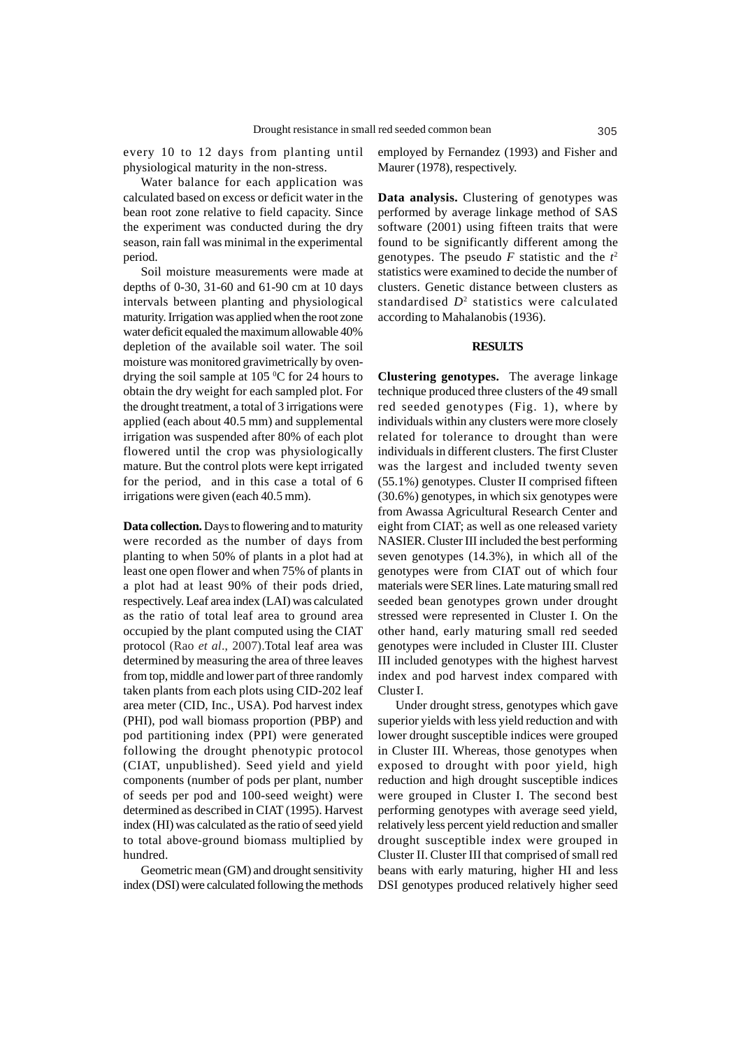every 10 to 12 days from planting until physiological maturity in the non-stress.

Water balance for each application was calculated based on excess or deficit water in the bean root zone relative to field capacity. Since the experiment was conducted during the dry season, rain fall was minimal in the experimental period.

Soil moisture measurements were made at depths of 0-30, 31-60 and 61-90 cm at 10 days intervals between planting and physiological maturity. Irrigation was applied when the root zone water deficit equaled the maximum allowable 40% depletion of the available soil water. The soil moisture was monitored gravimetrically by ovendrying the soil sample at  $105\text{ °C}$  for 24 hours to obtain the dry weight for each sampled plot. For the drought treatment, a total of 3 irrigations were applied (each about 40.5 mm) and supplemental irrigation was suspended after 80% of each plot flowered until the crop was physiologically mature. But the control plots were kept irrigated for the period, and in this case a total of 6 irrigations were given (each 40.5 mm).

**Data collection.** Days to flowering and to maturity were recorded as the number of days from planting to when 50% of plants in a plot had at least one open flower and when 75% of plants in a plot had at least 90% of their pods dried, respectively. Leaf area index (LAI) was calculated as the ratio of total leaf area to ground area occupied by the plant computed using the CIAT protocol (Rao *et al*., 2007).Total leaf area was determined by measuring the area of three leaves from top, middle and lower part of three randomly taken plants from each plots using CID-202 leaf area meter (CID, Inc., USA). Pod harvest index (PHI), pod wall biomass proportion (PBP) and pod partitioning index (PPI) were generated following the drought phenotypic protocol (CIAT, unpublished). Seed yield and yield components (number of pods per plant, number of seeds per pod and 100-seed weight) were determined as described in CIAT (1995). Harvest index (HI) was calculated as the ratio of seed yield to total above-ground biomass multiplied by hundred.

Geometric mean (GM) and drought sensitivity index (DSI) were calculated following the methods

employed by Fernandez (1993) and Fisher and Maurer (1978), respectively.

**Data analysis.** Clustering of genotypes was performed by average linkage method of SAS software (2001) using fifteen traits that were found to be significantly different among the genotypes. The pseudo *F* statistic and the *t* 2 statistics were examined to decide the number of clusters. Genetic distance between clusters as standardised *D*<sup>2</sup> statistics were calculated according to Mahalanobis (1936).

## **RESULTS**

**Clustering genotypes.** The average linkage technique produced three clusters of the 49 small red seeded genotypes (Fig. 1), where by individuals within any clusters were more closely related for tolerance to drought than were individuals in different clusters. The first Cluster was the largest and included twenty seven (55.1%) genotypes. Cluster II comprised fifteen (30.6%) genotypes, in which six genotypes were from Awassa Agricultural Research Center and eight from CIAT; as well as one released variety NASIER. Cluster III included the best performing seven genotypes (14.3%), in which all of the genotypes were from CIAT out of which four materials were SER lines. Late maturing small red seeded bean genotypes grown under drought stressed were represented in Cluster I. On the other hand, early maturing small red seeded genotypes were included in Cluster III. Cluster III included genotypes with the highest harvest index and pod harvest index compared with Cluster I.

Under drought stress, genotypes which gave superior yields with less yield reduction and with lower drought susceptible indices were grouped in Cluster III. Whereas, those genotypes when exposed to drought with poor yield, high reduction and high drought susceptible indices were grouped in Cluster I. The second best performing genotypes with average seed yield, relatively less percent yield reduction and smaller drought susceptible index were grouped in Cluster II. Cluster III that comprised of small red beans with early maturing, higher HI and less DSI genotypes produced relatively higher seed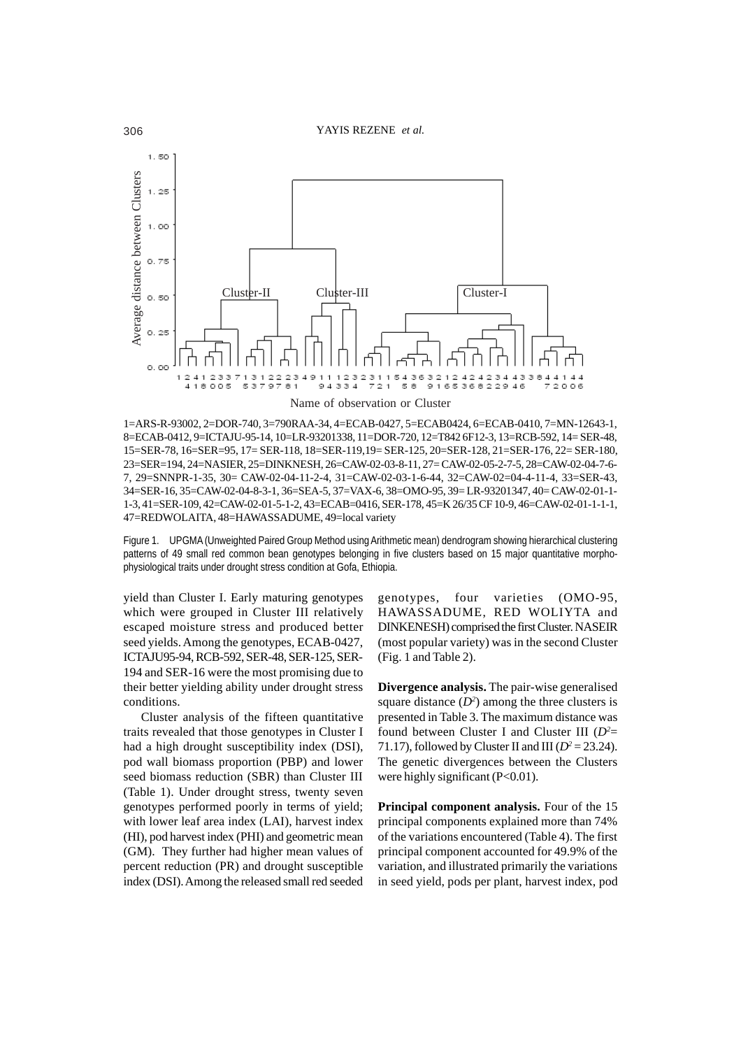

1=ARS-R-93002, 2=DOR-740, 3=790RAA-34, 4=ECAB-0427, 5=ECAB0424, 6=ECAB-0410, 7=MN-12643-1, 8=ECAB-0412, 9=ICTAJU-95-14, 10=LR-93201338, 11=DOR-720, 12=T842 6F12-3, 13=RCB-592, 14= SER-48, 15=SER-78, 16=SER=95, 17= SER-118, 18=SER-119,19= SER-125, 20=SER-128, 21=SER-176, 22= SER-180, 23=SER=194, 24=NASIER, 25=DINKNESH, 26=CAW-02-03-8-11, 27= CAW-02-05-2-7-5, 28=CAW-02-04-7-6- 7, 29=SNNPR-1-35, 30= CAW-02-04-11-2-4, 31=CAW-02-03-1-6-44, 32=CAW-02=04-4-11-4, 33=SER-43, 34=SER-16, 35=CAW-02-04-8-3-1, 36=SEA-5, 37=VAX-6, 38=OMO-95, 39= LR-93201347, 40= CAW-02-01-1- 1-3, 41=SER-109, 42=CAW-02-01-5-1-2, 43=ECAB=0416, SER-178, 45=K 26/35 CF 10-9, 46=CAW-02-01-1-1-1, 47=REDWOLAITA, 48=HAWASSADUME, 49=local variety

Figure 1. UPGMA (Unweighted Paired Group Method using Arithmetic mean) dendrogram showing hierarchical clustering patterns of 49 small red common bean genotypes belonging in five clusters based on 15 major quantitative morphophysiological traits under drought stress condition at Gofa, Ethiopia.

yield than Cluster I. Early maturing genotypes which were grouped in Cluster III relatively escaped moisture stress and produced better seed yields. Among the genotypes, ECAB-0427, ICTAJU95-94, RCB-592, SER-48, SER-125, SER-194 and SER-16 were the most promising due to their better yielding ability under drought stress conditions.

Cluster analysis of the fifteen quantitative traits revealed that those genotypes in Cluster I had a high drought susceptibility index (DSI), pod wall biomass proportion (PBP) and lower seed biomass reduction (SBR) than Cluster III (Table 1). Under drought stress, twenty seven genotypes performed poorly in terms of yield; with lower leaf area index (LAI), harvest index (HI), pod harvest index (PHI) and geometric mean (GM). They further had higher mean values of percent reduction (PR) and drought susceptible index (DSI). Among the released small red seeded

genotypes, four varieties (OMO-95, HAWASSADUME, RED WOLIYTA and DINKENESH) comprised the first Cluster. NASEIR (most popular variety) was in the second Cluster (Fig. 1 and Table 2).

**Divergence analysis.** The pair-wise generalised square distance  $(D^2)$  among the three clusters is presented in Table 3. The maximum distance was found between Cluster I and Cluster III (*D2* = 71.17), followed by Cluster II and III ( $D^2 = 23.24$ ). The genetic divergences between the Clusters were highly significant (P<0.01).

**Principal component analysis.** Four of the 15 principal components explained more than 74% of the variations encountered (Table 4). The first principal component accounted for 49.9% of the variation, and illustrated primarily the variations in seed yield, pods per plant, harvest index, pod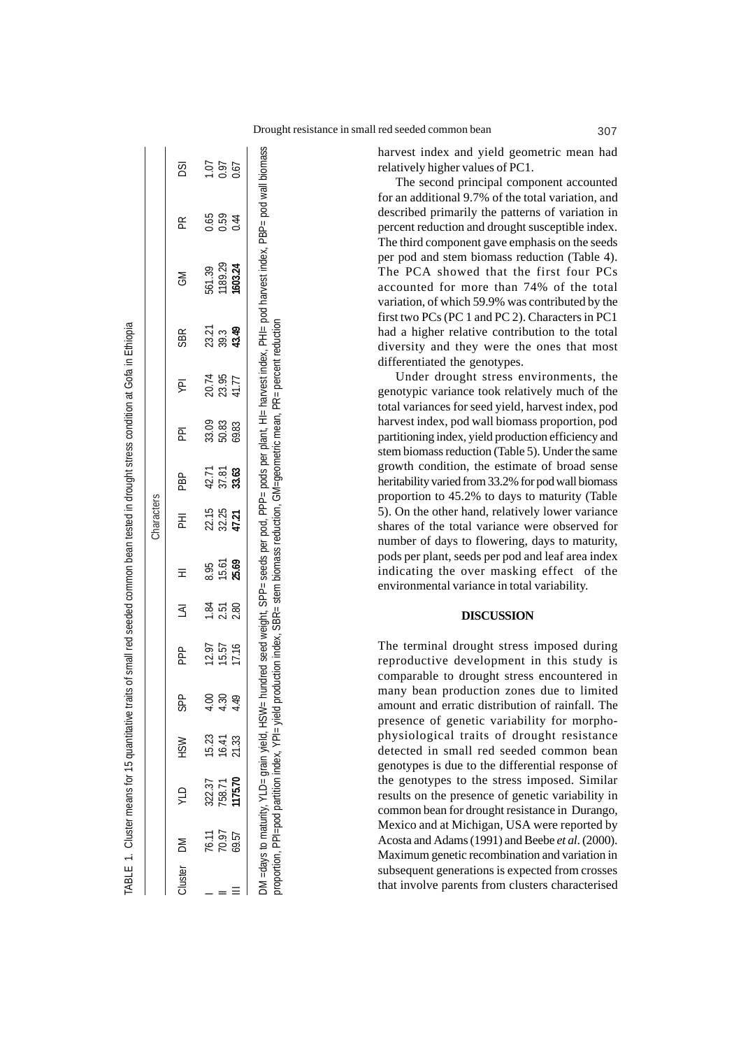harvest index and yield geometric mean had relatively higher values of PC1.

The second principal component accounted for an additional 9.7% of the total variation, and described primarily the patterns of variation in percent reduction and drought susceptible index. The third component gave emphasis on the seeds per pod and stem biomass reduction (Table 4). The PCA showed that the first four PCs accounted for more than 74% of the total variation, of which 59.9% was contributed by the first two PCs (PC 1 and PC 2). Characters in PC1 had a higher relative contribution to the total diversity and they were the ones that most differentiated the genotypes.

Under drought stress environments, the genotypic variance took relatively much of the total variances for seed yield, harvest index, pod harvest index, pod wall biomass proportion, pod partitioning index, yield production efficiency and stem biomass reduction (Table 5). Under the same growth condition, the estimate of broad sense heritability varied from 33.2% for pod wall biomass proportion to 45.2% to days to maturity (Table 5). On the other hand, relatively lower variance shares of the total variance were observed for number of days to flowering, days to maturity, pods per plant, seeds per pod and leaf area index indicating the over masking effect of the environmental variance in total variability.

## **DISCUSSION**

The terminal drought stress imposed during reproductive development in this study is comparable to drought stress encountered in many bean production zones due to limited amount and erratic distribution of rainfall. The presence of genetic variability for morphophysiological traits of drought resistance detected in small red seeded common bean genotypes is due to the differential response of the genotypes to the stress imposed. Similar results on the presence of genetic variability in common bean for drought resistance in Durango, Mexico and at Michigan, USA were reported by Acosta and Adams (1991) and Beebe *et al*. (2000). Maximum genetic recombination and variation in subsequent generations is expected from crosses that involve parents from clusters characterised

|            |                |                                                                                                  |                |               |                                                                                         |                    |                | Characters              |                                        |                         |                         |                               |                                                                                                                                |                      |                      |
|------------|----------------|--------------------------------------------------------------------------------------------------|----------------|---------------|-----------------------------------------------------------------------------------------|--------------------|----------------|-------------------------|----------------------------------------|-------------------------|-------------------------|-------------------------------|--------------------------------------------------------------------------------------------------------------------------------|----------------------|----------------------|
| Cluster DM |                | <b>OTA</b>                                                                                       | <b>MSH</b>     | θ<br>5        | a<br>P                                                                                  | ξ                  | Ξ              | 굳                       | <b>RH</b>                              | 훈                       | ψN                      | <b>SBR</b>                    | ŠΣ                                                                                                                             | Æ                    | DSI                  |
|            |                |                                                                                                  |                |               |                                                                                         |                    | 8.95           |                         |                                        |                         |                         |                               | 561.39                                                                                                                         |                      |                      |
|            | 76.11<br>70.97 | 322.37<br>758.71                                                                                 | 15.23<br>16.41 | S.            | 12.97<br>15.57                                                                          | $\frac{184}{2.51}$ | 15.61<br>25.69 | 22.15<br>32.25<br>47.21 | 42.71<br>37.8 <b>3</b><br><b>33.63</b> | 33.09<br>50.83<br>69.83 | 20.74<br>23.95<br>41.77 | 23.21<br>29.3<br><b>43.49</b> | 1189.29                                                                                                                        | 0.59<br>0.59<br>0.44 | 1.07<br>0.07<br>0.07 |
|            | 59.57          | 1175.70                                                                                          | 21.33          | $\frac{1}{2}$ | 17.16                                                                                   | 2.80               |                |                         |                                        |                         |                         |                               | 1603.24                                                                                                                        |                      |                      |
|            |                | DM = days to maturity, YLD= grain yield, HSW=<br>rroportion, PPI=pod partition index, YPI= yield |                |               | production index, SBR= stem biomass reduction, GM=geometric mean, PR= percent reduction |                    |                |                         |                                        |                         |                         |                               | hundred seed weight, SPP= seeds per pod, PPP= pods per plant, HI= harvest index, PHI= pod harvest index, PBP= pod wall biomass |                      |                      |

proportion, PPI=pod partition index, YPI= yield production index, SBR= stem biomass reduction, GM=geometric mean, PR= percent reduction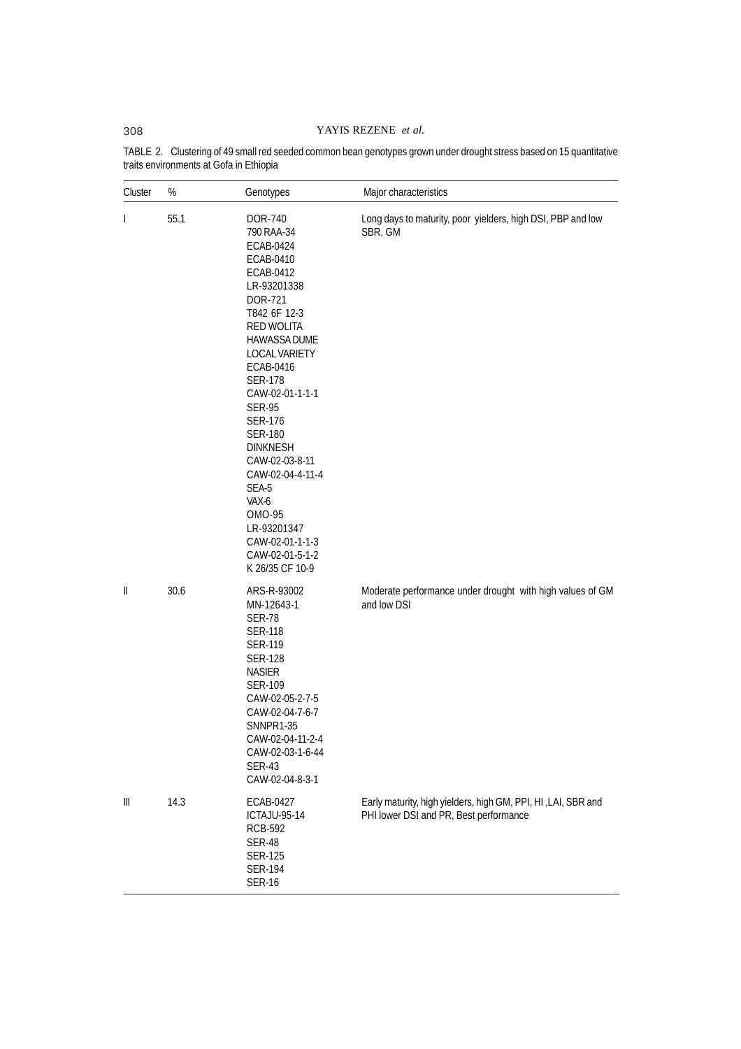# 308 YAYIS REZENE *et al.*

| Cluster      | %    | Genotypes                                                                                                                                                                                                                                                                                                                                                                                                                               | Major characteristics                                                                                   |  |  |  |  |
|--------------|------|-----------------------------------------------------------------------------------------------------------------------------------------------------------------------------------------------------------------------------------------------------------------------------------------------------------------------------------------------------------------------------------------------------------------------------------------|---------------------------------------------------------------------------------------------------------|--|--|--|--|
| $\mathbf{I}$ | 55.1 | DOR-740<br>790 RAA-34<br>ECAB-0424<br>ECAB-0410<br>ECAB-0412<br>LR-93201338<br>DOR-721<br>T842 6F 12-3<br>RED WOLITA<br><b>HAWASSA DUME</b><br><b>LOCAL VARIETY</b><br>ECAB-0416<br><b>SER-178</b><br>CAW-02-01-1-1-1<br><b>SER-95</b><br><b>SER-176</b><br><b>SER-180</b><br><b>DINKNESH</b><br>CAW-02-03-8-11<br>CAW-02-04-4-11-4<br>SEA-5<br>VAX-6<br>OMO-95<br>LR-93201347<br>CAW-02-01-1-1-3<br>CAW-02-01-5-1-2<br>K 26/35 CF 10-9 | Long days to maturity, poor yielders, high DSI, PBP and low<br>SBR, GM                                  |  |  |  |  |
| Ш            | 30.6 | ARS-R-93002<br>MN-12643-1<br><b>SER-78</b><br><b>SER-118</b><br><b>SER-119</b><br><b>SER-128</b><br><b>NASIER</b><br><b>SER-109</b><br>CAW-02-05-2-7-5<br>CAW-02-04-7-6-7<br>SNNPR1-35<br>CAW-02-04-11-2-4<br>CAW-02-03-1-6-44<br><b>SER-43</b><br>CAW-02-04-8-3-1                                                                                                                                                                      | Moderate performance under drought with high values of GM<br>and low DSI                                |  |  |  |  |
| Ш            | 14.3 | ECAB-0427<br><b>ICTAJU-95-14</b><br><b>RCB-592</b><br><b>SER-48</b><br><b>SER-125</b><br><b>SER-194</b><br><b>SER-16</b>                                                                                                                                                                                                                                                                                                                | Early maturity, high yielders, high GM, PPI, HI, LAI, SBR and<br>PHI lower DSI and PR, Best performance |  |  |  |  |

TABLE 2. Clustering of 49 small red seeded common bean genotypes grown under drought stress based on 15 quantitative traits environments at Gofa in Ethiopia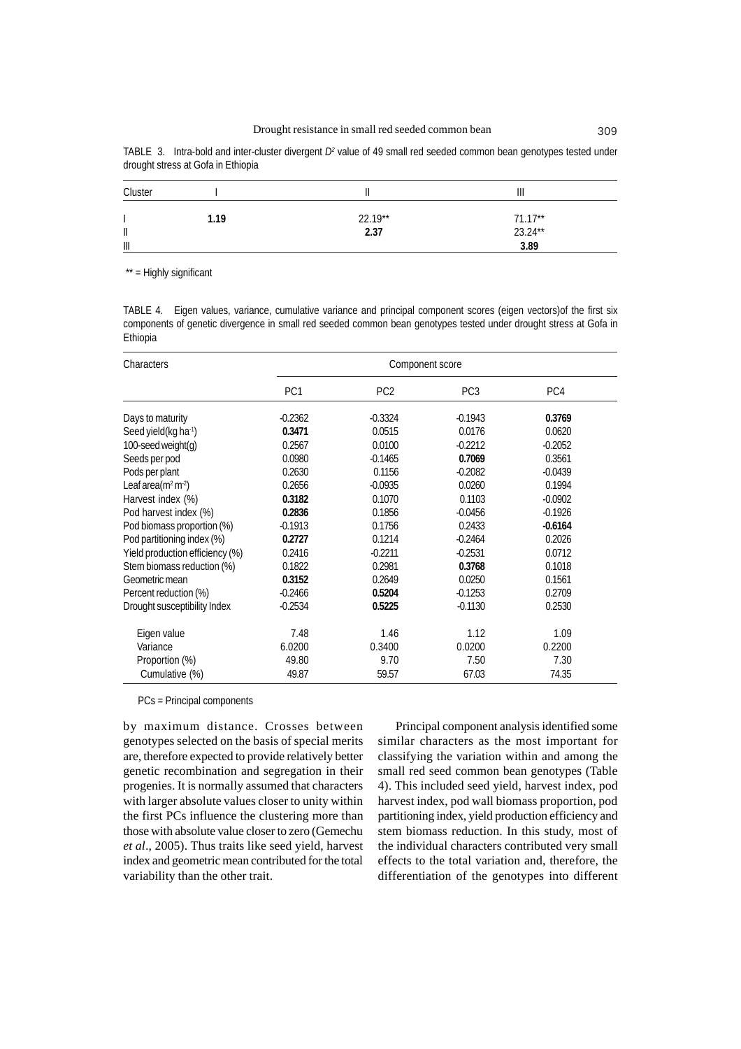| TABLE 3. Intra-bold and inter-cluster divergent $D^2$ value of 49 small red seeded common bean genotypes tested under |  |  |  |  |
|-----------------------------------------------------------------------------------------------------------------------|--|--|--|--|
| drought stress at Gofa in Ethiopia                                                                                    |  |  |  |  |

| Cluster               |      |           | Ш                    |  |
|-----------------------|------|-----------|----------------------|--|
|                       | 1.19 | $22.19**$ |                      |  |
| $\mathsf{I}$          |      | 2.37      | $71.17**$<br>23.24** |  |
| $\parallel \parallel$ |      |           | 3.89                 |  |

\*\* = Highly significant

TABLE 4. Eigen values, variance, cumulative variance and principal component scores (eigen vectors)of the first six components of genetic divergence in small red seeded common bean genotypes tested under drought stress at Gofa in Ethiopia

| Characters                        |                 | Component score |                 |           |  |  |  |  |
|-----------------------------------|-----------------|-----------------|-----------------|-----------|--|--|--|--|
|                                   | PC <sub>1</sub> | PC <sub>2</sub> | PC <sub>3</sub> | PC4       |  |  |  |  |
| Days to maturity                  | $-0.2362$       | $-0.3324$       | $-0.1943$       | 0.3769    |  |  |  |  |
| Seed yield (kg ha <sup>-1</sup> ) | 0.3471          | 0.0515          | 0.0176          | 0.0620    |  |  |  |  |
| 100-seed weight(g)                | 0.2567          | 0.0100          | $-0.2212$       | $-0.2052$ |  |  |  |  |
| Seeds per pod                     | 0.0980          | $-0.1465$       | 0.7069          | 0.3561    |  |  |  |  |
| Pods per plant                    | 0.2630          | 0.1156          | $-0.2082$       | $-0.0439$ |  |  |  |  |
| Leaf area ( $m^2 m^2$ )           | 0.2656          | $-0.0935$       | 0.0260          | 0.1994    |  |  |  |  |
| Harvest index (%)                 | 0.3182          | 0.1070          | 0.1103          | $-0.0902$ |  |  |  |  |
| Pod harvest index (%)             | 0.2836          | 0.1856          | $-0.0456$       | $-0.1926$ |  |  |  |  |
| Pod biomass proportion (%)        | $-0.1913$       | 0.1756          | 0.2433          | $-0.6164$ |  |  |  |  |
| Pod partitioning index (%)        | 0.2727          | 0.1214          | $-0.2464$       | 0.2026    |  |  |  |  |
| Yield production efficiency (%)   | 0.2416          | $-0.2211$       | $-0.2531$       | 0.0712    |  |  |  |  |
| Stem biomass reduction (%)        | 0.1822          | 0.2981          | 0.3768          | 0.1018    |  |  |  |  |
| Geometric mean                    | 0.3152          | 0.2649          | 0.0250          | 0.1561    |  |  |  |  |
| Percent reduction (%)             | $-0.2466$       | 0.5204          | $-0.1253$       | 0.2709    |  |  |  |  |
| Drought susceptibility Index      | $-0.2534$       | 0.5225          | $-0.1130$       | 0.2530    |  |  |  |  |
| Eigen value                       | 7.48            | 1.46            | 1.12            | 1.09      |  |  |  |  |
| Variance                          | 6.0200          | 0.3400          | 0.0200          | 0.2200    |  |  |  |  |
| Proportion (%)                    | 49.80           | 9.70            | 7.50            | 7.30      |  |  |  |  |
| Cumulative (%)                    | 49.87           | 59.57           | 67.03           | 74.35     |  |  |  |  |

PCs = Principal components

by maximum distance. Crosses between genotypes selected on the basis of special merits are, therefore expected to provide relatively better genetic recombination and segregation in their progenies. It is normally assumed that characters with larger absolute values closer to unity within the first PCs influence the clustering more than those with absolute value closer to zero (Gemechu *et al*., 2005). Thus traits like seed yield, harvest index and geometric mean contributed for the total variability than the other trait.

Principal component analysis identified some similar characters as the most important for classifying the variation within and among the small red seed common bean genotypes (Table 4). This included seed yield, harvest index, pod harvest index, pod wall biomass proportion, pod partitioning index, yield production efficiency and stem biomass reduction. In this study, most of the individual characters contributed very small effects to the total variation and, therefore, the differentiation of the genotypes into different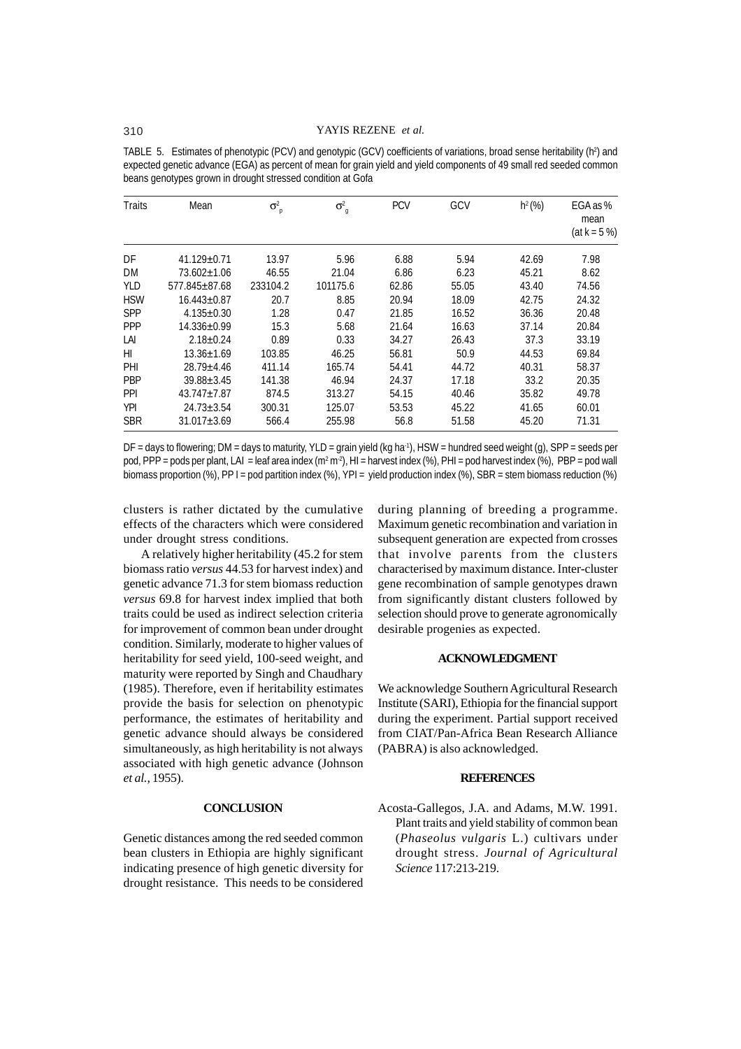## 310 YAYIS REZENE *et al.*

TABLE 5. Estimates of phenotypic (PCV) and genotypic (GCV) coefficients of variations, broad sense heritability (h<sup>2</sup>) and expected genetic advance (EGA) as percent of mean for grain yield and yield components of 49 small red seeded common beans genotypes grown in drought stressed condition at Gofa

| <b>Traits</b> | Mean              | $\sigma^2$<br>p | $\sigma^2$<br>g | <b>PCV</b> | GCV   | $h^2(\%)$ | EGA as %<br>mean<br>$(at k = 5 %)$ |
|---------------|-------------------|-----------------|-----------------|------------|-------|-----------|------------------------------------|
| DF            | $41.129 + 0.71$   | 13.97           | 5.96            | 6.88       | 5.94  | 42.69     | 7.98                               |
| DM            | $73.602 \pm 1.06$ | 46.55           | 21.04           | 6.86       | 6.23  | 45.21     | 8.62                               |
| <b>YLD</b>    | 577.845+87.68     | 233104.2        | 101175.6        | 62.86      | 55.05 | 43.40     | 74.56                              |
| <b>HSW</b>    | $16.443 + 0.87$   | 20.7            | 8.85            | 20.94      | 18.09 | 42.75     | 24.32                              |
| <b>SPP</b>    | $4.135 + 0.30$    | 1.28            | 0.47            | 21.85      | 16.52 | 36.36     | 20.48                              |
| <b>PPP</b>    | $14.336 + 0.99$   | 15.3            | 5.68            | 21.64      | 16.63 | 37.14     | 20.84                              |
| LAI           | $2.18 + 0.24$     | 0.89            | 0.33            | 34.27      | 26.43 | 37.3      | 33.19                              |
| HI            | $13.36 + 1.69$    | 103.85          | 46.25           | 56.81      | 50.9  | 44.53     | 69.84                              |
| PHI           | $28.79 + 4.46$    | 411.14          | 165.74          | 54.41      | 44.72 | 40.31     | 58.37                              |
| <b>PBP</b>    | $39.88 + 3.45$    | 141.38          | 46.94           | 24.37      | 17.18 | 33.2      | 20.35                              |
| <b>PPI</b>    | $43.747 + 7.87$   | 874.5           | 313.27          | 54.15      | 40.46 | 35.82     | 49.78                              |
| <b>YPI</b>    | $24.73 + 3.54$    | 300.31          | 125.07          | 53.53      | 45.22 | 41.65     | 60.01                              |
| <b>SBR</b>    | $31.017 \pm 3.69$ | 566.4           | 255.98          | 56.8       | 51.58 | 45.20     | 71.31                              |

 $DF =$  days to flowering: DM = days to maturity, YLD = grain yield (kg ha<sup>-1</sup>), HSW = hundred seed weight (g), SPP = seeds per pod, PPP = pods per plant, LAI = leaf area index (m² m²), HI = harvest index (%), PHI = pod harvest index (%), PBP = pod wall biomass proportion (%), PP I = pod partition index (%), YPI = yield production index (%), SBR = stem biomass reduction (%)

clusters is rather dictated by the cumulative effects of the characters which were considered under drought stress conditions.

A relatively higher heritability (45.2 for stem biomass ratio *versus* 44.53 for harvest index) and genetic advance 71.3 for stem biomass reduction *versus* 69.8 for harvest index implied that both traits could be used as indirect selection criteria for improvement of common bean under drought condition. Similarly, moderate to higher values of heritability for seed yield, 100-seed weight, and maturity were reported by Singh and Chaudhary (1985). Therefore, even if heritability estimates provide the basis for selection on phenotypic performance, the estimates of heritability and genetic advance should always be considered simultaneously, as high heritability is not always associated with high genetic advance (Johnson *et al.,* 1955).

## **CONCLUSION**

Genetic distances among the red seeded common bean clusters in Ethiopia are highly significant indicating presence of high genetic diversity for drought resistance. This needs to be considered

during planning of breeding a programme. Maximum genetic recombination and variation in subsequent generation are expected from crosses that involve parents from the clusters characterised by maximum distance. Inter-cluster gene recombination of sample genotypes drawn from significantly distant clusters followed by selection should prove to generate agronomically desirable progenies as expected.

## **ACKNOWLEDGMENT**

We acknowledge Southern Agricultural Research Institute (SARI), Ethiopia for the financial support during the experiment. Partial support received from CIAT/Pan-Africa Bean Research Alliance (PABRA) is also acknowledged.

### **REFERENCES**

Acosta-Gallegos, J.A. and Adams, M.W. 1991. Plant traits and yield stability of common bean (*Phaseolus vulgaris* L.) cultivars under drought stress. *Journal of Agricultural Science* 117:213-219.